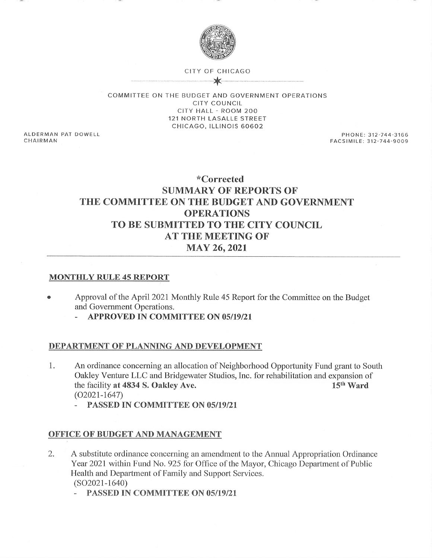

## CITY OF CHICAGO

COMMITTEE ON THE BUDGET AND GOVERNMENT OPERATIONS CITY COUNCIL CITY HALL - ROOM 2OO 121 NORTH LASALLE STREET CHICAGO, ILLINOIS 60602

ALDERMAN PAT DOWELL CHAIRMAN

PHONE: 312-744-3166 FACSIMILE: 312-744^9009

# \*Corrected SUMMARY OF REPORTS OF THE COMMITTEE ON THE BUDGET AND GOVERNMENT OPERATIONS TO BE SUBMITTED TO THE CITY COUNCIL AT THE MEETING OF MAY 26,2021

# MONTHLY RULE 45 REPORT

- <sup>a</sup> Approval of the April 202I Monthly Rule 45 Report for the Committee on the Budget and Government Operations.
	- APPROVED IN COMMITTEE ON 05/19/21

#### DEPARTMENT OF PLANNING AND DEVELOPMENT

- 1 An ordinance concerning an allocation of Neighborhood Opportunity Fund grant to South Oakley Venture LLC and Bridgewater Studios, Inc. for rehabilitation and expansion of the facility at 4834 S. Oakley Ave. 15<sup>th</sup> Ward the facility at 4834 S. Oakley Ave.  $(O2021 - 1647)$ 
	- PASSED IN COMMITTEE ON 05/19/21

# OFFICE OF BUDGET AND MANAGEMENT

- A substitute ordinance concerning an amendment to the Annual Appropriation Ordinance Year 2021 within Fund No. 925 for Office of the Mayor, Chicago Department of Public Health and Department of Family and Support Services. (s02021-1640) 2.
	- PASSED IN COMMITTEE ON 05/19/21